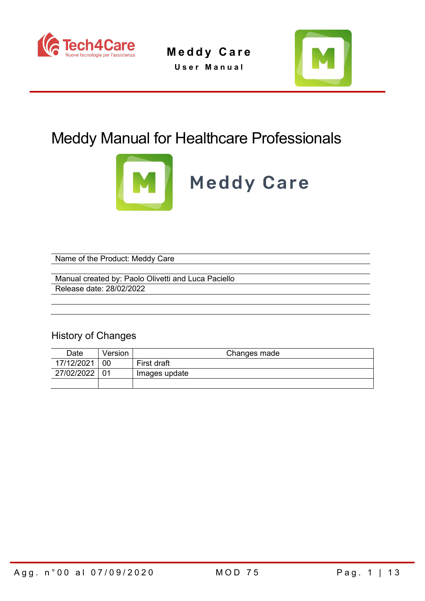

**Meddy Care User Manual**



## Meddy Manual for Healthcare Professionals



# **Meddy Care**

Name of the Product: Meddy Care

Manual created by: Paolo Olivetti and Luca Paciello Release date: 28/02/2022

## History of Changes

| Date       | Version | Changes made  |  |  |  |  |
|------------|---------|---------------|--|--|--|--|
| 17/12/2021 | 00      | First draft   |  |  |  |  |
| 27/02/2022 |         | Images update |  |  |  |  |
|            |         |               |  |  |  |  |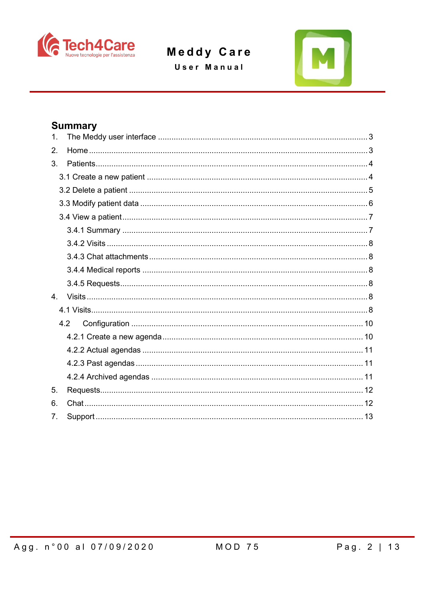

User Manual



## **Summary**

| 1.             |     |  |
|----------------|-----|--|
| 2.             |     |  |
| 3.             |     |  |
|                |     |  |
|                |     |  |
|                |     |  |
|                |     |  |
|                |     |  |
|                |     |  |
|                |     |  |
|                |     |  |
|                |     |  |
| $\overline{4}$ |     |  |
|                |     |  |
|                | 4.2 |  |
|                |     |  |
|                |     |  |
|                |     |  |
|                |     |  |
| 5.             |     |  |
| 6.             |     |  |
| 7 <sub>1</sub> |     |  |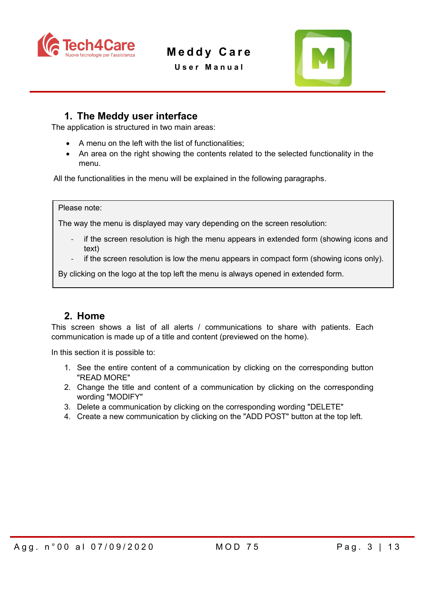

**User Manual**



## <span id="page-2-0"></span>**1. The Meddy user interface**

The application is structured in two main areas:

- A menu on the left with the list of functionalities;
- An area on the right showing the contents related to the selected functionality in the menu.

All the functionalities in the menu will be explained in the following paragraphs.

#### Please note:

The way the menu is displayed may vary depending on the screen resolution:

- if the screen resolution is high the menu appears in extended form (showing icons and text)
- if the screen resolution is low the menu appears in compact form (showing icons only).

By clicking on the logo at the top left the menu is always opened in extended form.

### <span id="page-2-1"></span>**2. Home**

This screen shows a list of all alerts / communications to share with patients. Each communication is made up of a title and content (previewed on the home).

In this section it is possible to:

- 1. See the entire content of a communication by clicking on the corresponding button "READ MORE"
- 2. Change the title and content of a communication by clicking on the corresponding wording "MODIFY"
- 3. Delete a communication by clicking on the corresponding wording "DELETE"
- 4. Create a new communication by clicking on the "ADD POST" button at the top left.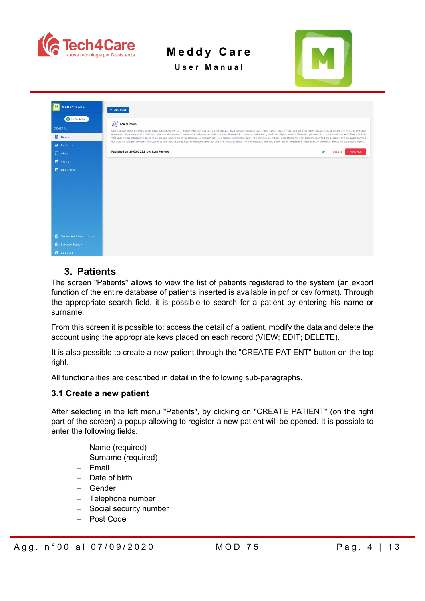

**Meddy Care User Manual**



M MEDDY CARE  $+$  ADD POST **Ett** L. Pac Lorem Ipsum Lorem ipsum dolor sit amet, consectetur<br>malesuada. Maecenas at tincidunt est. In **自** Home tae mi volutpat convallis. Aliquam erat volutpat. Vivamus e Published on 31-03-2022 by: Luca Paciello EDIT DELETE  $\Box$  Visits  $\blacksquare$  Requests

## <span id="page-3-0"></span>**3. Patients**

The screen "Patients" allows to view the list of patients registered to the system (an export function of the entire database of patients inserted is available in pdf or csv format). Through the appropriate search field, it is possible to search for a patient by entering his name or surname.

From this screen it is possible to: access the detail of a patient, modify the data and delete the account using the appropriate keys placed on each record (VIEW; EDIT; DELETE).

It is also possible to create a new patient through the "CREATE PATIENT" button on the top right.

All functionalities are described in detail in the following sub-paragraphs.

#### <span id="page-3-1"></span>**3.1 Create a new patient**

After selecting in the left menu "Patients", by clicking on "CREATE PATIENT" (on the right part of the screen) a popup allowing to register a new patient will be opened. It is possible to enter the following fields:

- − Name (required)
- − Surname (required)
- − Email
- − Date of birth
- − Gender
- − Telephone number
- − Social security number
- − Post Code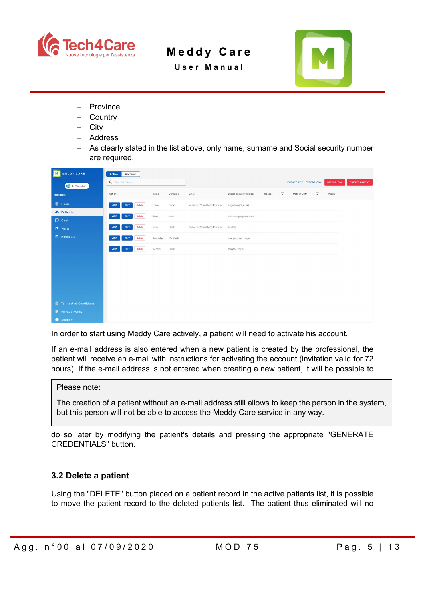

**User Manual**



- − Province
- − Country
- − City
- − Address
- − As clearly stated in the list above, only name, surname and Social security number are required.

| MEDDY CARE<br>M               | Archived<br>Active            |                     |                             |                               |        |          |                                              |          |       |                       |
|-------------------------------|-------------------------------|---------------------|-----------------------------|-------------------------------|--------|----------|----------------------------------------------|----------|-------|-----------------------|
| L. Paciello v                 | Q Search in 'Name'            |                     |                             |                               |        |          | EXPORT .PDF EXPORT .CSV<br><b>IMPORT.CSV</b> |          |       | <b>CREATE PATIENT</b> |
| <b>GENERAL</b>                | Actions                       | Name<br>Surname     | Email                       | <b>Social Security Number</b> | Gender | $\equiv$ | Date of Birth                                | $\equiv$ | Phone |                       |
| <b>自</b> Home                 | VIEW<br><b>Delete</b><br>EDIT | Louie<br>duck       | louieduck@test.tech4care.eu | engnrkjekjnkjernkj            |        |          |                                              |          |       |                       |
| "Patients                     | EDIT<br>Delete<br>VIEW        | dewey<br>duck       |                             | dfslkmkogmgwomtowm            |        |          |                                              |          |       |                       |
| $\Box$ Chat                   | Delete<br>EDIT<br><b>VIEW</b> | Huey<br>Duck        | hueyduck@test.tech4care.eu  | safdhjh                       |        |          |                                              |          |       |                       |
| Visits<br><b>E</b> Requests   |                               |                     |                             |                               |        |          |                                              |          |       |                       |
|                               | Delete<br>EDIT<br><b>VIEW</b> | Scroodge<br>Mc Duck |                             | atwryreyreyeryeryre           |        |          |                                              |          |       |                       |
|                               | Delete<br>EDIT<br>VIEW        | Donald<br>Duck      |                             | fdgsfhgfkgyjò                 |        |          |                                              |          |       |                       |
|                               |                               |                     |                             |                               |        |          |                                              |          |       |                       |
|                               |                               |                     |                             |                               |        |          |                                              |          |       |                       |
|                               |                               |                     |                             |                               |        |          |                                              |          |       |                       |
|                               |                               |                     |                             |                               |        |          |                                              |          |       |                       |
| <b>自</b> Terms And Conditions |                               |                     |                             |                               |        |          |                                              |          |       |                       |
| <b>自 Privacy Policy</b>       |                               |                     |                             |                               |        |          |                                              |          |       |                       |
| <b>6</b> Support              |                               |                     |                             |                               |        |          |                                              |          |       |                       |

In order to start using Meddy Care actively, a patient will need to activate his account.

If an e-mail address is also entered when a new patient is created by the professional, the patient will receive an e-mail with instructions for activating the account (invitation valid for 72 hours). If the e-mail address is not entered when creating a new patient, it will be possible to

Please note:

The creation of a patient without an e-mail address still allows to keep the person in the system, but this person will not be able to access the Meddy Care service in any way.

do so later by modifying the patient's details and pressing the appropriate "GENERATE CREDENTIALS" button.

#### <span id="page-4-0"></span>**3.2 Delete a patient**

Using the "DELETE" button placed on a patient record in the active patients list, it is possible to move the patient record to the deleted patients list. The patient thus eliminated will no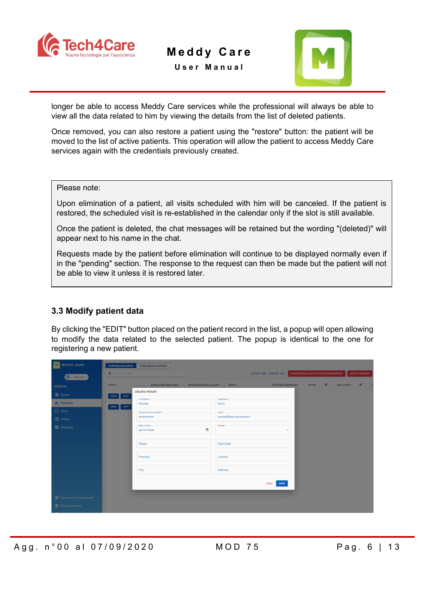

**User Manual**



longer be able to access Meddy Care services while the professional will always be able to view all the data related to him by viewing the details from the list of deleted patients.

Once removed, you can also restore a patient using the "restore" button: the patient will be moved to the list of active patients. This operation will allow the patient to access Meddy Care services again with the credentials previously created.

Please note:

Upon elimination of a patient, all visits scheduled with him will be canceled. If the patient is restored, the scheduled visit is re-established in the calendar only if the slot is still available.

Once the patient is deleted, the chat messages will be retained but the wording "(deleted)" will appear next to his name in the chat.

Requests made by the patient before elimination will continue to be displayed normally even if in the "pending" section. The response to the request can then be made but the patient will not be able to view it unless it is restored later.

#### <span id="page-5-0"></span>**3.3 Modify patient data**

By clicking the "EDIT" button placed on the patient record in the list, a popup will open allowing to modify the data related to the selected patient. The popup is identical to the one for registering a new patient.

| <b>MEDDY CARE</b>             | buttongroup.active<br>buttongroup.archived                                                                                                                                     |   |
|-------------------------------|--------------------------------------------------------------------------------------------------------------------------------------------------------------------------------|---|
| ( L. Paciello v )             | Q Search in 'Name!<br>PATIENT.TABLE.BUTTON.CREATENEWIMPORT<br><b>CREATE PATIENT</b><br>EXPORT PDF EXPORT CSV                                                                   |   |
| <b>GENERAL</b>                | <b>Social Security Number</b><br>Actions<br>patient.table.fields.name<br>patient.table.fields.surname<br>Email<br>Gender<br>$\equiv$<br>Date of Birth<br><b>CREATE PATIENT</b> | Ξ |
| <b>自</b> Home<br>" Patients   | VIEW<br>EDIT<br>Last Name *<br>First Name<br>Paziente<br>Test 2                                                                                                                |   |
| $\Box$ Chat                   | VIEW<br>EDIT<br>- Social Security Number *<br>Email<br>afoidoiwomm<br>paztest2@test.tech4care.eu                                                                               |   |
| Visits<br><b>目</b> Modules    | Date of Birth<br>Gender<br>$\Box$<br>gg/mm/aaaa<br>$\overline{\phantom{a}}$                                                                                                    |   |
|                               |                                                                                                                                                                                |   |
|                               | Phone<br>Post Code                                                                                                                                                             |   |
|                               | Province<br>Country                                                                                                                                                            |   |
|                               | City<br>Address                                                                                                                                                                |   |
|                               | <b>SAVE</b><br>Close                                                                                                                                                           |   |
| <b>自</b> Terms And Conditions |                                                                                                                                                                                |   |
| <b>自 Privacy Policy</b>       |                                                                                                                                                                                |   |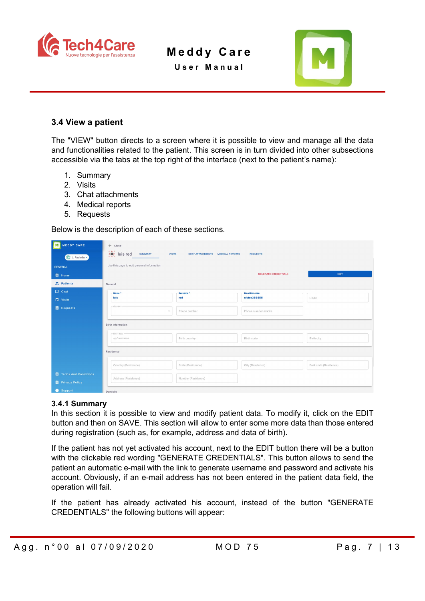

**User Manual**



#### <span id="page-6-0"></span>**3.4 View a patient**

The "VIEW" button directs to a screen where it is possible to view and manage all the data and functionalities related to the patient. This screen is in turn divided into other subsections accessible via the tabs at the top right of the interface (next to the patient's name):

- 1. Summary
- 2. Visits
- 3. Chat attachments
- 4. Medical reports
- 5. Requests

Below is the description of each of these sections.

| Iмl<br><b>MEDDY CARE</b>      | $\leftarrow$ Close                                          |                                                   |                             |                       |  |  |  |  |  |  |
|-------------------------------|-------------------------------------------------------------|---------------------------------------------------|-----------------------------|-----------------------|--|--|--|--|--|--|
| L. Paciello v                 | 0, 4, 0<br>ു<br><b>SUMMARY</b><br><b>VISITS</b><br>luis red | <b>CHAT ATTACHMENTS</b><br><b>MEDICAL REPORTS</b> | <b>REQUESTS</b>             |                       |  |  |  |  |  |  |
| <b>GENERAL</b>                | Use this page to edit personal information                  |                                                   |                             |                       |  |  |  |  |  |  |
| <b>自</b> Home                 |                                                             |                                                   | <b>GENERATE CREDENTIALS</b> | EDIT                  |  |  |  |  |  |  |
| " Patients                    | General                                                     |                                                   |                             |                       |  |  |  |  |  |  |
| $\Box$ Chat                   | Name *                                                      | Surname *                                         | <b>Identifier code</b>      |                       |  |  |  |  |  |  |
| Visits                        | luis                                                        | red                                               | sfsfee355555                | Email                 |  |  |  |  |  |  |
| <b>E</b> Requests             | $-$ Gender<br>$\mathcal{L}$                                 | Phone number                                      | Phone number mobile         |                       |  |  |  |  |  |  |
|                               | Birth information                                           |                                                   |                             |                       |  |  |  |  |  |  |
|                               | Birth date -<br>gg/mm/aaaa                                  | Birth country                                     | Birth state                 | Birth city            |  |  |  |  |  |  |
|                               | Residence                                                   |                                                   |                             |                       |  |  |  |  |  |  |
|                               | Country (Residence)                                         | State (Residence)                                 | City (Residence)            | Post code (Residence) |  |  |  |  |  |  |
| <b>自</b> Terms And Conditions | Address (Residence)                                         | Number (Residence)                                |                             |                       |  |  |  |  |  |  |
| <b>自 Privacy Policy</b>       |                                                             |                                                   |                             |                       |  |  |  |  |  |  |
| <b>8</b> Support              | Domicile                                                    |                                                   |                             |                       |  |  |  |  |  |  |

#### <span id="page-6-1"></span>**3.4.1 Summary**

In this section it is possible to view and modify patient data. To modify it, click on the EDIT button and then on SAVE. This section will allow to enter some more data than those entered during registration (such as, for example, address and data of birth).

If the patient has not yet activated his account, next to the EDIT button there will be a button with the clickable red wording "GENERATE CREDENTIALS". This button allows to send the patient an automatic e-mail with the link to generate username and password and activate his account. Obviously, if an e-mail address has not been entered in the patient data field, the operation will fail.

If the patient has already activated his account, instead of the button "GENERATE CREDENTIALS" the following buttons will appear: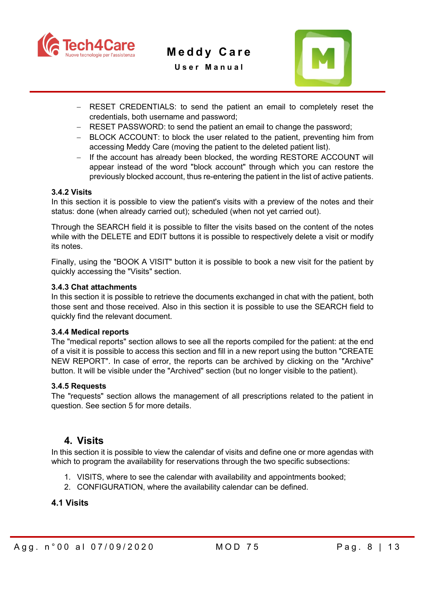

**User Manual**



- − RESET CREDENTIALS: to send the patient an email to completely reset the credentials, both username and password;
- − RESET PASSWORD: to send the patient an email to change the password;
- − BLOCK ACCOUNT: to block the user related to the patient, preventing him from accessing Meddy Care (moving the patient to the deleted patient list).
- − If the account has already been blocked, the wording RESTORE ACCOUNT will appear instead of the word "block account" through which you can restore the previously blocked account, thus re-entering the patient in the list of active patients.

#### <span id="page-7-0"></span>**3.4.2 Visits**

In this section it is possible to view the patient's visits with a preview of the notes and their status: done (when already carried out); scheduled (when not yet carried out).

Through the SEARCH field it is possible to filter the visits based on the content of the notes while with the DELETE and EDIT buttons it is possible to respectively delete a visit or modify its notes.

Finally, using the "BOOK A VISIT" button it is possible to book a new visit for the patient by quickly accessing the "Visits" section.

#### <span id="page-7-1"></span>**3.4.3 Chat attachments**

In this section it is possible to retrieve the documents exchanged in chat with the patient, both those sent and those received. Also in this section it is possible to use the SEARCH field to quickly find the relevant document.

#### <span id="page-7-2"></span>**3.4.4 Medical reports**

The "medical reports" section allows to see all the reports compiled for the patient: at the end of a visit it is possible to access this section and fill in a new report using the button "CREATE NEW REPORT". In case of error, the reports can be archived by clicking on the "Archive" button. It will be visible under the "Archived" section (but no longer visible to the patient).

#### <span id="page-7-3"></span>**3.4.5 Requests**

The "requests" section allows the management of all prescriptions related to the patient in question. See section 5 for more details.

#### <span id="page-7-4"></span>**4. Visits**

In this section it is possible to view the calendar of visits and define one or more agendas with which to program the availability for reservations through the two specific subsections:

- 1. VISITS, where to see the calendar with availability and appointments booked;
- 2. CONFIGURATION, where the availability calendar can be defined.

#### <span id="page-7-5"></span>**4.1 Visits**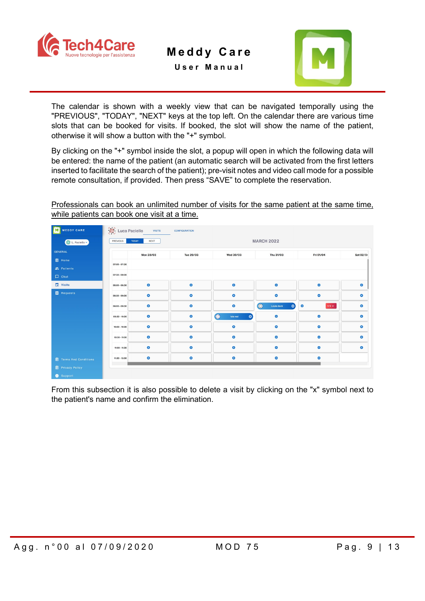

**User Manual**



The calendar is shown with a weekly view that can be navigated temporally using the "PREVIOUS", "TODAY", "NEXT" keys at the top left. On the calendar there are various time slots that can be booked for visits. If booked, the slot will show the name of the patient, otherwise it will show a button with the "+" symbol.

By clicking on the "+" symbol inside the slot, a popup will open in which the following data will be entered: the name of the patient (an automatic search will be activated from the first letters inserted to facilitate the search of the patient); pre-visit notes and video call mode for a possible remote consultation, if provided. Then press "SAVE" to complete the reservation.

Professionals can book an unlimited number of visits for the same patient at the same time, while patients can book one visit at a time.

|                 | <b>VISITS</b>                             | <b>CONFIGURATION</b> |                                     |                                              |                         |           |  |  |
|-----------------|-------------------------------------------|----------------------|-------------------------------------|----------------------------------------------|-------------------------|-----------|--|--|
| PREVIOUS        | <b>MARCH 2022</b><br>NEXT<br><b>TODAY</b> |                      |                                     |                                              |                         |           |  |  |
|                 |                                           |                      |                                     |                                              |                         | Sat 02/04 |  |  |
|                 |                                           |                      |                                     |                                              |                         |           |  |  |
|                 |                                           |                      |                                     |                                              |                         |           |  |  |
| $07:30 - 08:00$ |                                           |                      |                                     |                                              |                         |           |  |  |
| 08:00 - 08:30   | $\bullet$                                 | $\bullet$            | $\bullet$                           | $\bullet$                                    | $\bullet$               | $\bullet$ |  |  |
| 08:30 - 09:00   | $\bullet$                                 | $\bullet$            | $\bullet$                           | $\bullet$                                    | $\bullet$               | $\bullet$ |  |  |
| 09:00 - 09:30   | $\bullet$                                 | $\bullet$            | $\bullet$                           | $\bigodot$<br>$\bullet$<br><b>Louie duck</b> | $\bullet$<br>$1/3 \vee$ | $\bullet$ |  |  |
| 09:30 - 10:00   | $\bullet$                                 | $\bullet$            | $\bigodot$<br>$\bullet$<br>luis red | $\bullet$                                    | $\bullet$               | $\bullet$ |  |  |
| $10:00 - 10:30$ | $\bullet$                                 | $\bullet$            | $\bullet$                           | $\bullet$                                    | $\bullet$               | $\bullet$ |  |  |
| $10:30 - 11:00$ | $\bullet$                                 | $\bullet$            | $\bullet$                           | $\bullet$                                    | $\bullet$               | $\bullet$ |  |  |
| 11:00 - 11:30   | $\bullet$                                 | $\bullet$            | $\bullet$                           | $\bullet$                                    | $\bullet$               | $\bullet$ |  |  |
| 11:30 - 12:00   | $\bullet$                                 | $\bullet$            | $\bullet$                           | $\bullet$                                    | $\bullet$               |           |  |  |
|                 |                                           |                      |                                     |                                              |                         |           |  |  |
|                 | 07:00 - 07:30                             | Mon 28/03            | Luca Paciello<br>Tue 29/03          | Wed 30/03                                    | Thu 31/03               | Fri 01/04 |  |  |

From this subsection it is also possible to delete a visit by clicking on the "x" symbol next to the patient's name and confirm the elimination.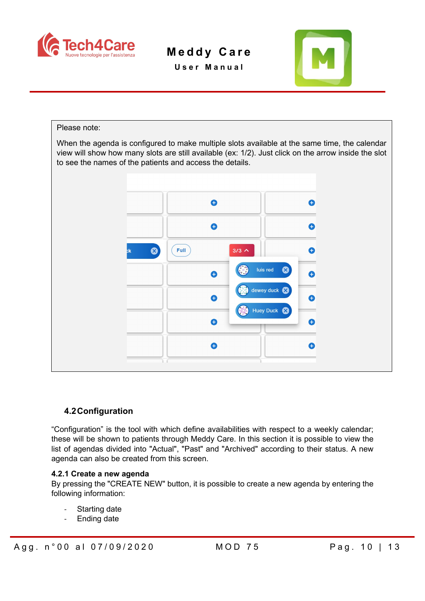

**User Manual**



## Please note: When the agenda is configured to make multiple slots available at the same time, the calendar view will show how many slots are still available (ex: 1/2). Just click on the arrow inside the slot to see the names of the patients and access the details.Ô  $\bullet$  $\bullet$ 0 Ø Full<sup>3</sup>  $3/3 \wedge$  $\bullet$ luis red  $\mathbf{C}$ Ô dewey duck € **Huey Duck** € Θ €  $\bullet$

#### <span id="page-9-0"></span>**4.2Configuration**

"Configuration" is the tool with which define availabilities with respect to a weekly calendar; these will be shown to patients through Meddy Care. In this section it is possible to view the list of agendas divided into "Actual", "Past" and "Archived" according to their status. A new agenda can also be created from this screen.

#### <span id="page-9-1"></span>**4.2.1 Create a new agenda**

By pressing the "CREATE NEW" button, it is possible to create a new agenda by entering the following information:

- Starting date
- Ending date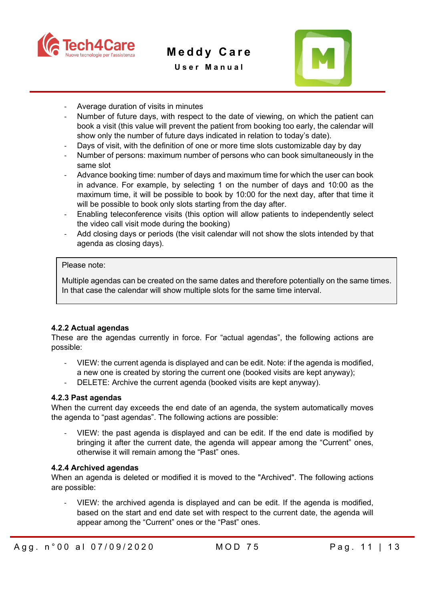

**User Manual**



- Average duration of visits in minutes
- Number of future days, with respect to the date of viewing, on which the patient can book a visit (this value will prevent the patient from booking too early, the calendar will show only the number of future days indicated in relation to today's date).
- Days of visit, with the definition of one or more time slots customizable day by day
- Number of persons: maximum number of persons who can book simultaneously in the same slot
- Advance booking time: number of days and maximum time for which the user can book in advance. For example, by selecting 1 on the number of days and 10:00 as the maximum time, it will be possible to book by 10:00 for the next day, after that time it will be possible to book only slots starting from the day after.
- Enabling teleconference visits (this option will allow patients to independently select the video call visit mode during the booking)
- Add closing days or periods (the visit calendar will not show the slots intended by that agenda as closing days).

#### Please note:

Multiple agendas can be created on the same dates and therefore potentially on the same times. In that case the calendar will show multiple slots for the same time interval.

#### <span id="page-10-0"></span>**4.2.2 Actual agendas**

These are the agendas currently in force. For "actual agendas", the following actions are possible:

- VIEW: the current agenda is displayed and can be edit. Note: if the agenda is modified, a new one is created by storing the current one (booked visits are kept anyway);
- DELETE: Archive the current agenda (booked visits are kept anyway).

#### <span id="page-10-1"></span>**4.2.3 Past agendas**

When the current day exceeds the end date of an agenda, the system automatically moves the agenda to "past agendas". The following actions are possible:

VIEW: the past agenda is displayed and can be edit. If the end date is modified by bringing it after the current date, the agenda will appear among the "Current" ones, otherwise it will remain among the "Past" ones.

#### <span id="page-10-2"></span>**4.2.4 Archived agendas**

When an agenda is deleted or modified it is moved to the "Archived". The following actions are possible:

VIEW: the archived agenda is displayed and can be edit. If the agenda is modified, based on the start and end date set with respect to the current date, the agenda will appear among the "Current" ones or the "Past" ones.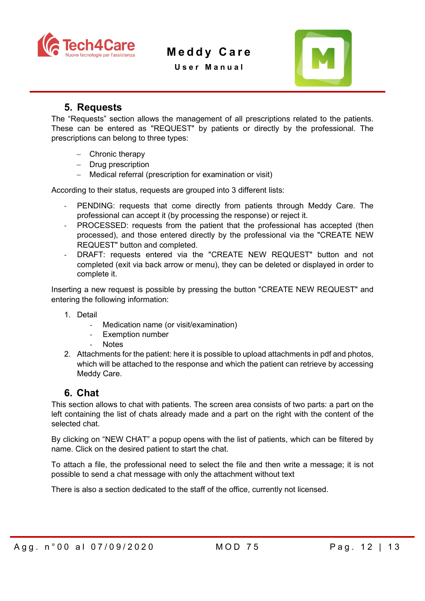

**User Manual**



### **5. Requests**

<span id="page-11-0"></span>The "Requests" section allows the management of all prescriptions related to the patients. These can be entered as "REQUEST" by patients or directly by the professional. The prescriptions can belong to three types:

- − Chronic therapy
- − Drug prescription
- − Medical referral (prescription for examination or visit)

According to their status, requests are grouped into 3 different lists:

- PENDING: requests that come directly from patients through Meddy Care. The professional can accept it (by processing the response) or reject it.
- PROCESSED: requests from the patient that the professional has accepted (then processed), and those entered directly by the professional via the "CREATE NEW REQUEST" button and completed.
- DRAFT: requests entered via the "CREATE NEW REQUEST" button and not completed (exit via back arrow or menu), they can be deleted or displayed in order to complete it.

Inserting a new request is possible by pressing the button "CREATE NEW REQUEST" and entering the following information:

- 1. Detail
	- Medication name (or visit/examination)
	- Exemption number
	- **Notes**
- 2. Attachments for the patient: here it is possible to upload attachments in pdf and photos, which will be attached to the response and which the patient can retrieve by accessing Meddy Care.

## <span id="page-11-1"></span>**6. Chat**

This section allows to chat with patients. The screen area consists of two parts: a part on the left containing the list of chats already made and a part on the right with the content of the selected chat.

By clicking on "NEW CHAT" a popup opens with the list of patients, which can be filtered by name. Click on the desired patient to start the chat.

To attach a file, the professional need to select the file and then write a message; it is not possible to send a chat message with only the attachment without text

There is also a section dedicated to the staff of the office, currently not licensed.